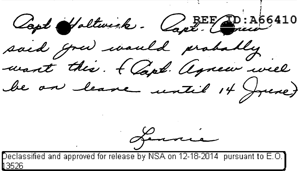Capt Holtwick. Capt. Com said grew would probably mont this. { Capt. Agnew will

Lennie

Peclassified and approved for release by NSA on 12-18-2014 pursuant to E.O. <u>3526 </u>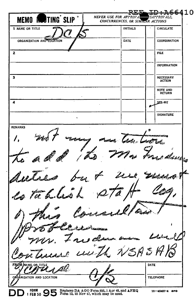**A66410 TING SLIP NEVER USE FOR APPROVAL** PROVALS. **MEMO** CONCURRENCES. OR SIMILAR ACTIONS 1 NAME OR TITLE **INITIALS CIRCULATE** n) ORGANIZATION AND LOCATION DATE **COORDINATION**  $\overline{2}$ **FILE INFORMATION**  $\overline{\mathbf{s}}$ **NECESSARY ACTION NOTE AND RETURN**  $\overline{\mathbf{A}}$ SEE-ME **SIGNATURE REMARKS** Jesuit League فسيعت duules g. P Tahles o clai  $5\beta$   $5$ **DATE** OR TITLE ORGANIZATION AND LOCATION **TELEPHONE** FORM SO STAGE BOOK AGO FORM 895, 1 Apr 48, and AFHQ 1 FEB 50 SP Form 12, 10 Nov 47, which may be used. 16-48487-4 аро